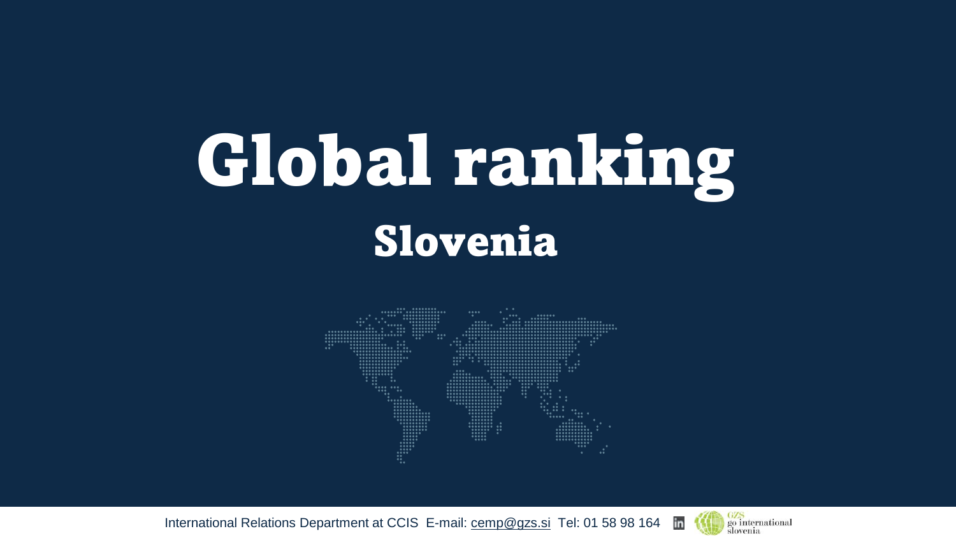## Global ranking Slovenia



International Relations Department at CCIS E-mail: [cemp@gzs.si](mailto:cemp@gzs.si) Tel: 01 58 98 164 m

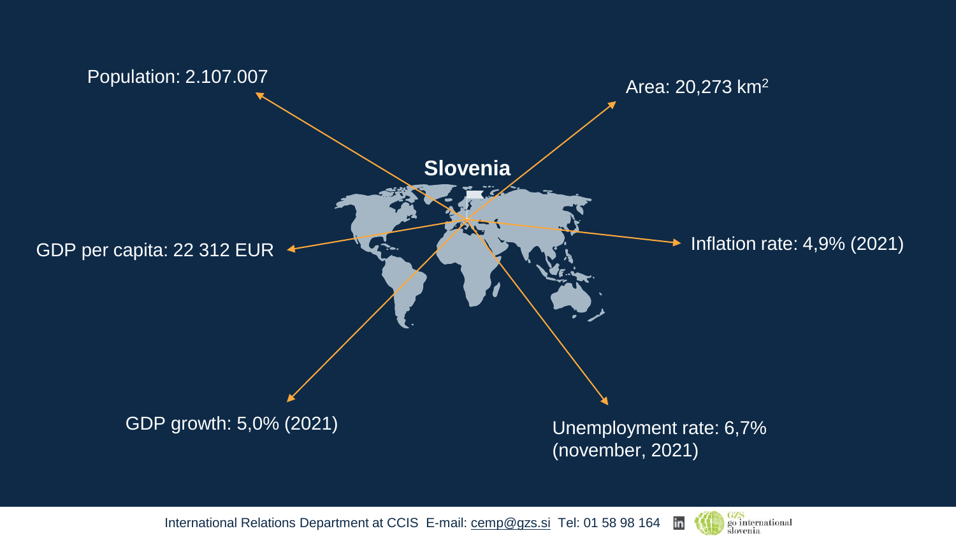



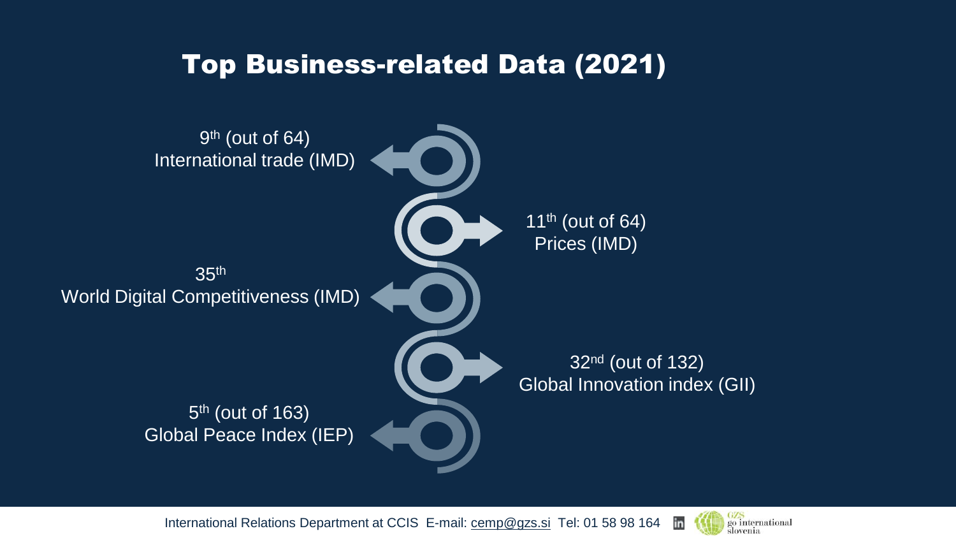## Top Business-related Data (2021)





International Relations Department at CCIS E-mail: [cemp@gzs.si](mailto:cemp@gzs.si) Tel: 01 58 98 164 In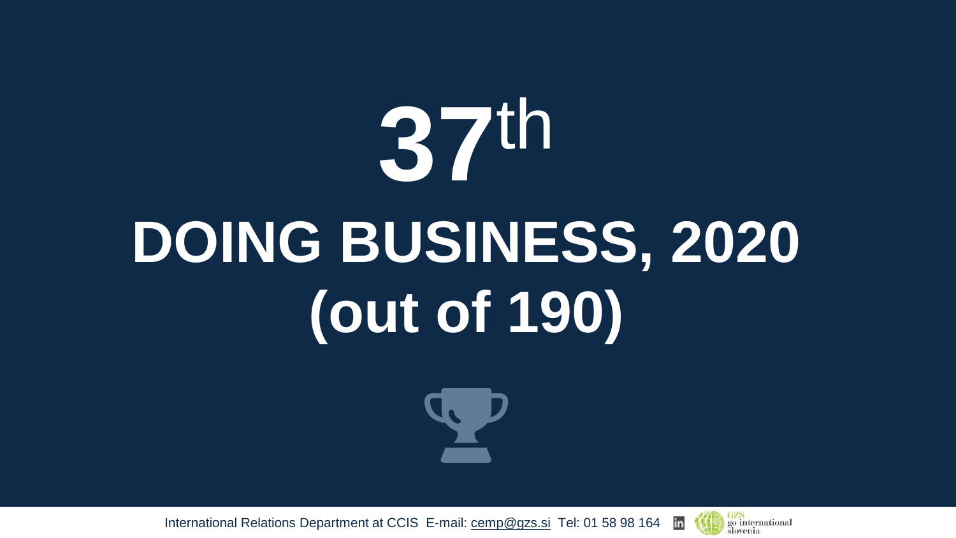## **37**th **DOING BUSINESS, 2020 (out of 190)**

International Relations Department at CCIS E-mail: [cemp@gzs.si](mailto:cemp@gzs.si) Tel: 01 58 98 164

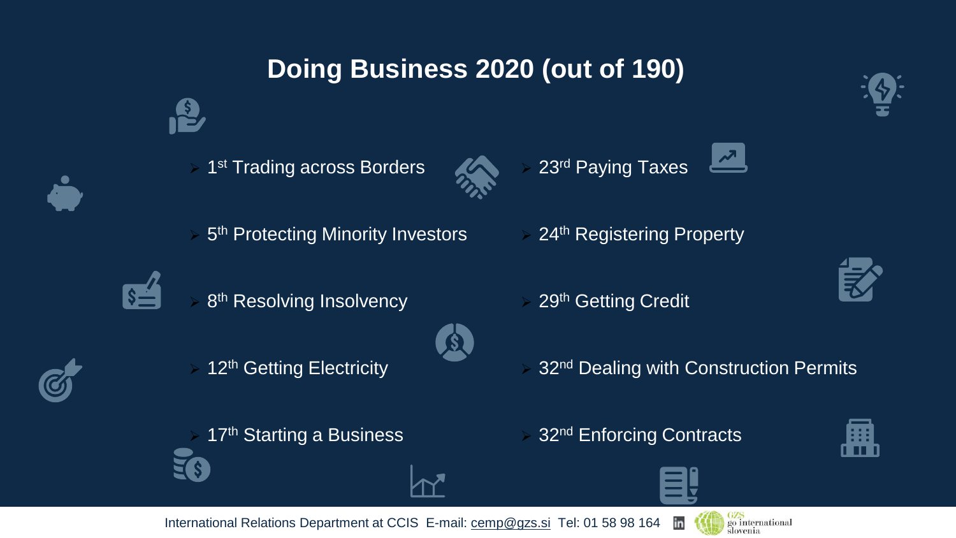## **Doing Business 2020 (out of 190)**

> 1<sup>st</sup> Trading across Borders

> 5<sup>th</sup> Protecting Minority Investors

> 8<sup>th</sup> Resolving Insolvency

12<sup>th</sup> Getting Electricity

17<sup>th</sup> Starting a Business

29<sup>th</sup> Getting Credit

23<sup>rd</sup> Paying Taxes

24<sup>th</sup> Registering Property

32<sup>nd</sup> Dealing with Construction Permits

 $\mathbf{v}$ 

32<sup>nd</sup> Enforcing Contracts

International Relations Department at CCIS E-mail: [cemp@gzs.si](mailto:cemp@gzs.si) Tel: 01 58 98 164 In



GZS<br>go international slovenia